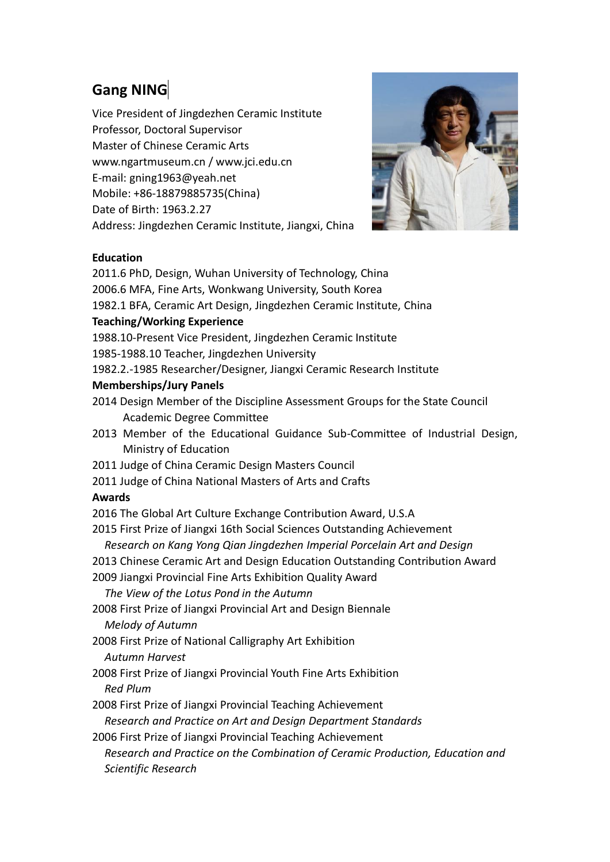# **Gang NING**

Vice President of Jingdezhen Ceramic Institute Professor, Doctoral Supervisor Master of Chinese Ceramic Arts www.ngartmuseum.cn / www.jci.edu.cn E-mail: gning1963@yeah.net Mobile: +86-18879885735(China) Date of Birth: 1963.2.27 Address: Jingdezhen Ceramic Institute, Jiangxi, China



## **Education**

2011.6 PhD, Design, Wuhan University of Technology, China 2006.6 MFA, Fine Arts, Wonkwang University, South Korea 1982.1 BFA, Ceramic Art Design, Jingdezhen Ceramic Institute, China **Teaching/Working Experience** 1988.10-Present Vice President, Jingdezhen Ceramic Institute 1985-1988.10 Teacher, Jingdezhen University 1982.2.-1985 Researcher/Designer, Jiangxi Ceramic Research Institute **Memberships/Jury Panels** 2014 Design Member of the Discipline Assessment Groups for the State Council Academic Degree Committee 2013 Member of the Educational Guidance Sub-Committee of Industrial Design, Ministry of Education 2011 Judge of China Ceramic Design Masters Council 2011 Judge of China National Masters of Arts and Crafts **Awards** 2016 The Global Art Culture Exchange Contribution Award, U.S.A 2015 First Prize of Jiangxi 16th Social Sciences Outstanding Achievement *Research on Kang Yong Qian Jingdezhen Imperial Porcelain Art and Design* 2013 Chinese Ceramic Art and Design Education Outstanding Contribution Award 2009 Jiangxi Provincial Fine Arts Exhibition Quality Award *The View of the Lotus Pond in the Autumn* 2008 First Prize of Jiangxi Provincial Art and Design Biennale *Melody of Autumn* 2008 First Prize of National Calligraphy Art Exhibition *Autumn Harvest* 2008 First Prize of Jiangxi Provincial Youth Fine Arts Exhibition *Red Plum* 2008 First Prize of Jiangxi Provincial Teaching Achievement *Research and Practice on Art and Design Department Standards* 2006 First Prize of Jiangxi Provincial Teaching Achievement *Research and Practice on the Combination of Ceramic Production, Education and Scientific Research*